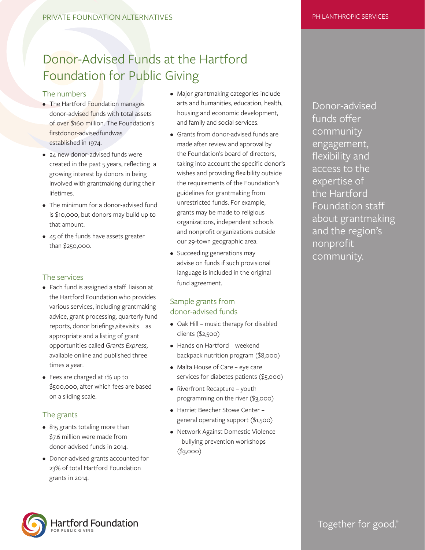## Donor-Advised Funds at the Hartford Foundation for Public Giving

#### The numbers

- The Hartford Foundation manages donor-advised funds with total assets of over \$160 million. The Foundation's first donor-advised fund was established in 1974.
- 24 new donor-advised funds were created in the past 5 years, reflecting a growing interest by donors in being involved with grantmaking during their lifetimes.
- The minimum for a donor-advised fund is \$10,000, but donors may build up to that amount.
- 45 of the funds have assets greater than \$250,000.

#### The services

- Each fund is assigned a staff liaison at the Hartford Foundation who provides various services, including grantmaking advice, grant processing, quarterly fund reports, donor briefings, site visits as appropriate and a listing of grant opportunities called *Grants Express*, available online and published three times a year.
- Fees are charged at 1% up to \$500,000, after which fees are based on a sliding scale.

#### The grants

- 815 grants totaling more than \$7.6 million were made from donor-advised funds in 2014.
- Donor-advised grants accounted for 23% of total Hartford Foundation grants in 2014.
- Major grantmaking categories include arts and humanities, education, health, housing and economic development, and family and social services.
- Grants from donor-advised funds are made after review and approval by the Foundation's board of directors, taking into account the specific donor's wishes and providing flexibility outside the requirements of the Foundation's guidelines for grantmaking from unrestricted funds. For example, grants may be made to religious organizations, independent schools and nonprofit organizations outside our 29-town geographic area.
- Succeeding generations may advise on funds if such provisional language is included in the original fund agreement.

### Sample grants from donor-advised funds

- Oak Hill music therapy for disabled clients (\$2,500)
- Hands on Hartford weekend backpack nutrition program (\$8,000)
- Malta House of Care eye care services for diabetes patients (\$5,000)
- Riverfront Recapture youth programming on the river (\$3,000)
- Harriet Beecher Stowe Center general operating support (\$1,500)
- Network Against Domestic Violence – bullying prevention workshops (\$3,000)

Donor-advised funds offer community engagement, flexibility and access to the expertise of the Hartford Foundation staff about grantmaking and the region's nonprofit community.



Together for good.